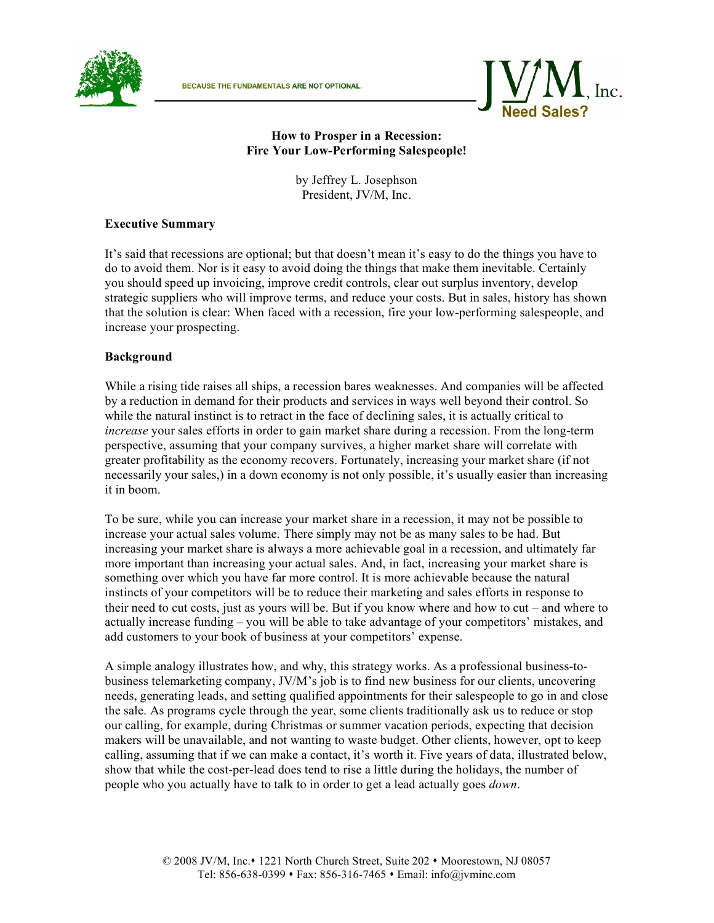



### **How to Prosper in a Recession: Fire Your Low-Performing Salespeople!**

by Jeffrey L. Josephson President, JV/M, Inc.

#### **Executive Summary**

It's said that recessions are optional; but that doesn't mean it's easy to do the things you have to do to avoid them. Nor is it easy to avoid doing the things that make them inevitable. Certainly you should speed up invoicing, improve credit controls, clear out surplus inventory, develop strategic suppliers who will improve terms, and reduce your costs. But in sales, history has shown that the solution is clear: When faced with a recession, fire your low-performing salespeople, and increase your prospecting.

#### **Background**

While a rising tide raises all ships, a recession bares weaknesses. And companies will be affected by a reduction in demand for their products and services in ways well beyond their control. So while the natural instinct is to retract in the face of declining sales, it is actually critical to *increase* your sales efforts in order to gain market share during a recession. From the long-term perspective, assuming that your company survives, a higher market share will correlate with greater profitability as the economy recovers. Fortunately, increasing your market share (if not necessarily your sales,) in a down economy is not only possible, it's usually easier than increasing it in boom.

To be sure, while you can increase your market share in a recession, it may not be possible to increase your actual sales volume. There simply may not be as many sales to be had. But increasing your market share is always a more achievable goal in a recession, and ultimately far more important than increasing your actual sales. And, in fact, increasing your market share is something over which you have far more control. It is more achievable because the natural instincts of your competitors will be to reduce their marketing and sales efforts in response to their need to cut costs, just as yours will be. But if you know where and how to cut – and where to actually increase funding – you will be able to take advantage of your competitors' mistakes, and add customers to your book of business at your competitors' expense.

A simple analogy illustrates how, and why, this strategy works. As a professional business-tobusiness telemarketing company, JV/M's job is to find new business for our clients, uncovering needs, generating leads, and setting qualified appointments for their salespeople to go in and close the sale. As programs cycle through the year, some clients traditionally ask us to reduce or stop our calling, for example, during Christmas or summer vacation periods, expecting that decision makers will be unavailable, and not wanting to waste budget. Other clients, however, opt to keep calling, assuming that if we can make a contact, it's worth it. Five years of data, illustrated below, show that while the cost-per-lead does tend to rise a little during the holidays, the number of people who you actually have to talk to in order to get a lead actually goes *down*.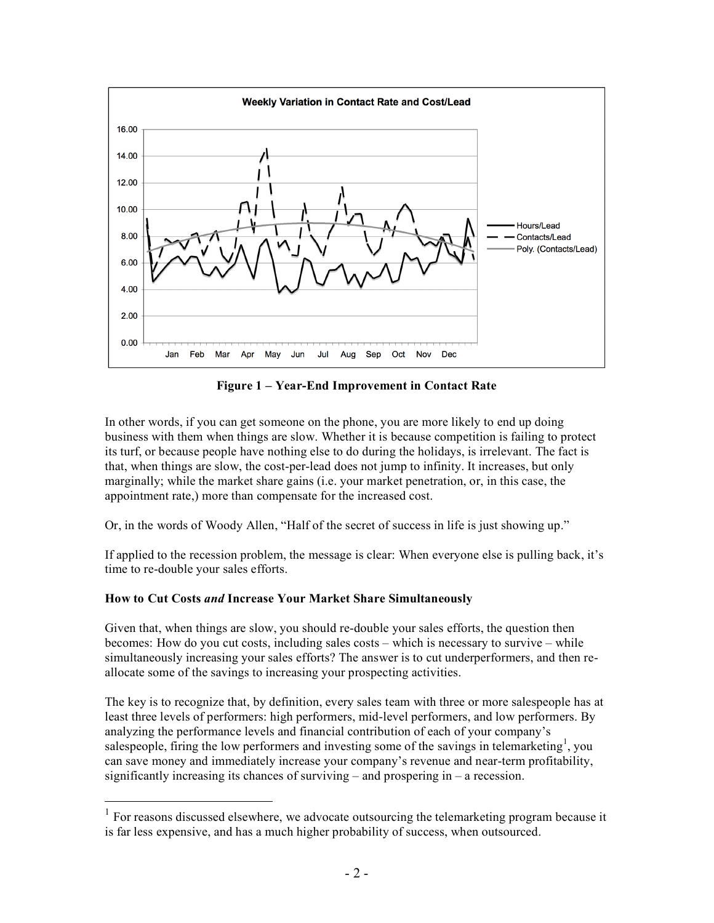

**Figure 1 – Year-End Improvement in Contact Rate**

In other words, if you can get someone on the phone, you are more likely to end up doing business with them when things are slow. Whether it is because competition is failing to protect its turf, or because people have nothing else to do during the holidays, is irrelevant. The fact is that, when things are slow, the cost-per-lead does not jump to infinity. It increases, but only marginally; while the market share gains (i.e. your market penetration, or, in this case, the appointment rate,) more than compensate for the increased cost.

Or, in the words of Woody Allen, "Half of the secret of success in life is just showing up."

If applied to the recession problem, the message is clear: When everyone else is pulling back, it's time to re-double your sales efforts.

### **How to Cut Costs** *and* **Increase Your Market Share Simultaneously**

Given that, when things are slow, you should re-double your sales efforts, the question then becomes: How do you cut costs, including sales costs – which is necessary to survive – while simultaneously increasing your sales efforts? The answer is to cut underperformers, and then reallocate some of the savings to increasing your prospecting activities.

The key is to recognize that, by definition, every sales team with three or more salespeople has at least three levels of performers: high performers, mid-level performers, and low performers. By analyzing the performance levels and financial contribution of each of your company's salespeople, firing the low performers and investing some of the savings in telemarketing<sup>1</sup>, you can save money and immediately increase your company's revenue and near-term profitability, significantly increasing its chances of surviving – and prospering in – a recession.

 <sup>1</sup> For reasons discussed elsewhere, we advocate outsourcing the telemarketing program because it is far less expensive, and has a much higher probability of success, when outsourced.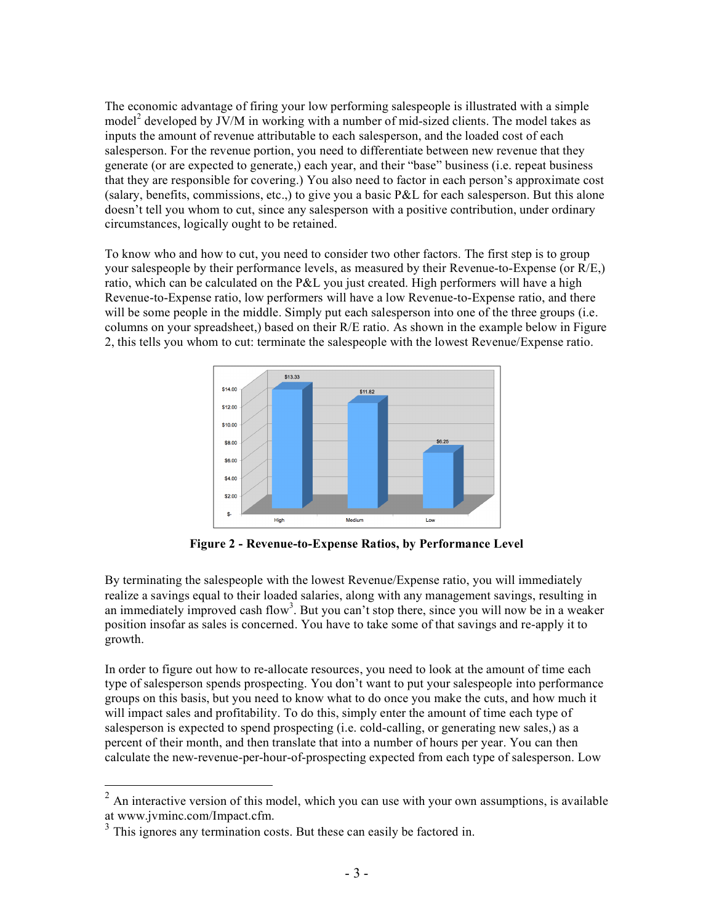The economic advantage of firing your low performing salespeople is illustrated with a simple model<sup>2</sup> developed by JV/M in working with a number of mid-sized clients. The model takes as inputs the amount of revenue attributable to each salesperson, and the loaded cost of each salesperson. For the revenue portion, you need to differentiate between new revenue that they generate (or are expected to generate,) each year, and their "base" business (i.e. repeat business that they are responsible for covering.) You also need to factor in each person's approximate cost (salary, benefits, commissions, etc.,) to give you a basic P&L for each salesperson. But this alone doesn't tell you whom to cut, since any salesperson with a positive contribution, under ordinary circumstances, logically ought to be retained.

To know who and how to cut, you need to consider two other factors. The first step is to group your salespeople by their performance levels, as measured by their Revenue-to-Expense (or R/E,) ratio, which can be calculated on the P&L you just created. High performers will have a high Revenue-to-Expense ratio, low performers will have a low Revenue-to-Expense ratio, and there will be some people in the middle. Simply put each salesperson into one of the three groups (i.e. columns on your spreadsheet,) based on their R/E ratio. As shown in the example below in Figure 2, this tells you whom to cut: terminate the salespeople with the lowest Revenue/Expense ratio.



**Figure 2 - Revenue-to-Expense Ratios, by Performance Level**

By terminating the salespeople with the lowest Revenue/Expense ratio, you will immediately realize a savings equal to their loaded salaries, along with any management savings, resulting in an immediately improved cash flow<sup>3</sup>. But you can't stop there, since you will now be in a weaker position insofar as sales is concerned. You have to take some of that savings and re-apply it to growth.

In order to figure out how to re-allocate resources, you need to look at the amount of time each type of salesperson spends prospecting. You don't want to put your salespeople into performance groups on this basis, but you need to know what to do once you make the cuts, and how much it will impact sales and profitability. To do this, simply enter the amount of time each type of salesperson is expected to spend prospecting (i.e. cold-calling, or generating new sales,) as a percent of their month, and then translate that into a number of hours per year. You can then calculate the new-revenue-per-hour-of-prospecting expected from each type of salesperson. Low

 $2$  An interactive version of this model, which you can use with your own assumptions, is available at www.jvminc.com/Impact.cfm.

 $3$  This ignores any termination costs. But these can easily be factored in.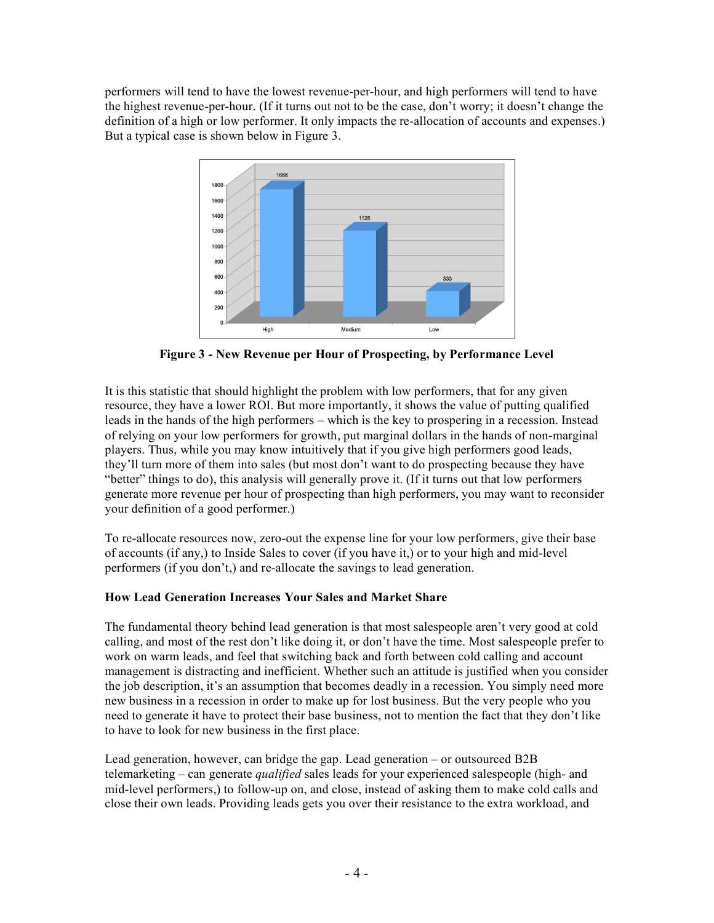performers will tend to have the lowest revenue-per-hour, and high performers will tend to have the highest revenue-per-hour. (If it turns out not to be the case, don't worry; it doesn't change the definition of a high or low performer. It only impacts the re-allocation of accounts and expenses.) But a typical case is shown below in Figure 3.



**Figure 3 - New Revenue per Hour of Prospecting, by Performance Level**

It is this statistic that should highlight the problem with low performers, that for any given resource, they have a lower ROI. But more importantly, it shows the value of putting qualified leads in the hands of the high performers – which is the key to prospering in a recession. Instead of relying on your low performers for growth, put marginal dollars in the hands of non-marginal players. Thus, while you may know intuitively that if you give high performers good leads, they'll turn more of them into sales (but most don't want to do prospecting because they have "better" things to do), this analysis will generally prove it. (If it turns out that low performers generate more revenue per hour of prospecting than high performers, you may want to reconsider your definition of a good performer.)

To re-allocate resources now, zero-out the expense line for your low performers, give their base of accounts (if any,) to Inside Sales to cover (if you have it,) or to your high and mid-level performers (if you don't,) and re-allocate the savings to lead generation.

# **How Lead Generation Increases Your Sales and Market Share**

The fundamental theory behind lead generation is that most salespeople aren't very good at cold calling, and most of the rest don't like doing it, or don't have the time. Most salespeople prefer to work on warm leads, and feel that switching back and forth between cold calling and account management is distracting and inefficient. Whether such an attitude is justified when you consider the job description, it's an assumption that becomes deadly in a recession. You simply need more new business in a recession in order to make up for lost business. But the very people who you need to generate it have to protect their base business, not to mention the fact that they don't like to have to look for new business in the first place.

Lead generation, however, can bridge the gap. Lead generation – or outsourced B2B telemarketing – can generate *qualified* sales leads for your experienced salespeople (high- and mid-level performers,) to follow-up on, and close, instead of asking them to make cold calls and close their own leads. Providing leads gets you over their resistance to the extra workload, and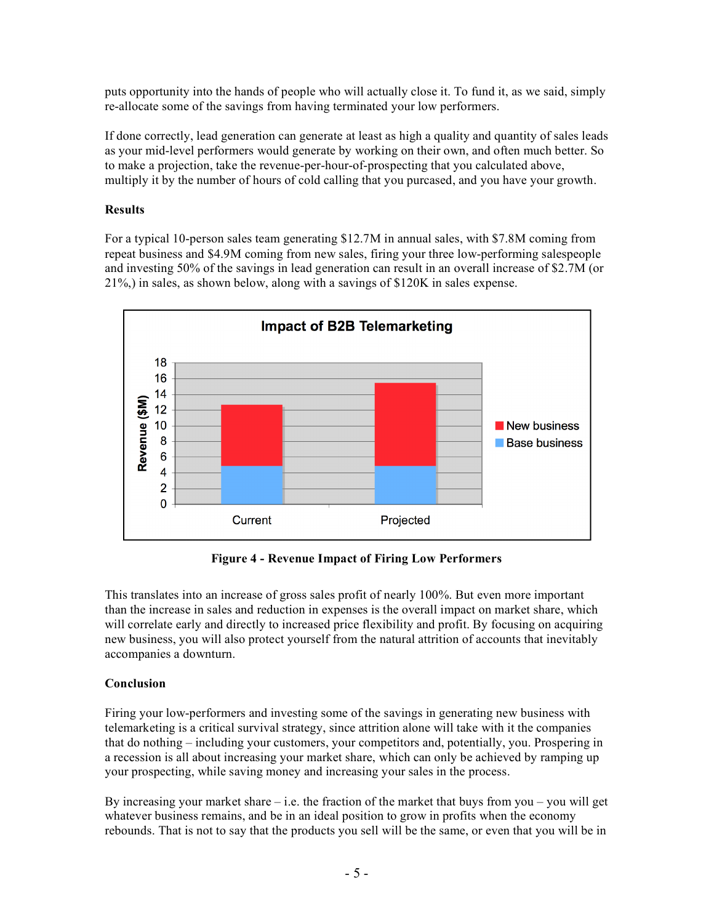puts opportunity into the hands of people who will actually close it. To fund it, as we said, simply re-allocate some of the savings from having terminated your low performers.

If done correctly, lead generation can generate at least as high a quality and quantity of sales leads as your mid-level performers would generate by working on their own, and often much better. So to make a projection, take the revenue-per-hour-of-prospecting that you calculated above, multiply it by the number of hours of cold calling that you purcased, and you have your growth.

## **Results**

For a typical 10-person sales team generating \$12.7M in annual sales, with \$7.8M coming from repeat business and \$4.9M coming from new sales, firing your three low-performing salespeople and investing 50% of the savings in lead generation can result in an overall increase of \$2.7M (or 21%,) in sales, as shown below, along with a savings of \$120K in sales expense.



**Figure 4 - Revenue Impact of Firing Low Performers**

This translates into an increase of gross sales profit of nearly 100%. But even more important than the increase in sales and reduction in expenses is the overall impact on market share, which will correlate early and directly to increased price flexibility and profit. By focusing on acquiring new business, you will also protect yourself from the natural attrition of accounts that inevitably accompanies a downturn.

# **Conclusion**

Firing your low-performers and investing some of the savings in generating new business with telemarketing is a critical survival strategy, since attrition alone will take with it the companies that do nothing – including your customers, your competitors and, potentially, you. Prospering in a recession is all about increasing your market share, which can only be achieved by ramping up your prospecting, while saving money and increasing your sales in the process.

By increasing your market share  $-$  i.e. the fraction of the market that buys from you  $-$  you will get whatever business remains, and be in an ideal position to grow in profits when the economy rebounds. That is not to say that the products you sell will be the same, or even that you will be in